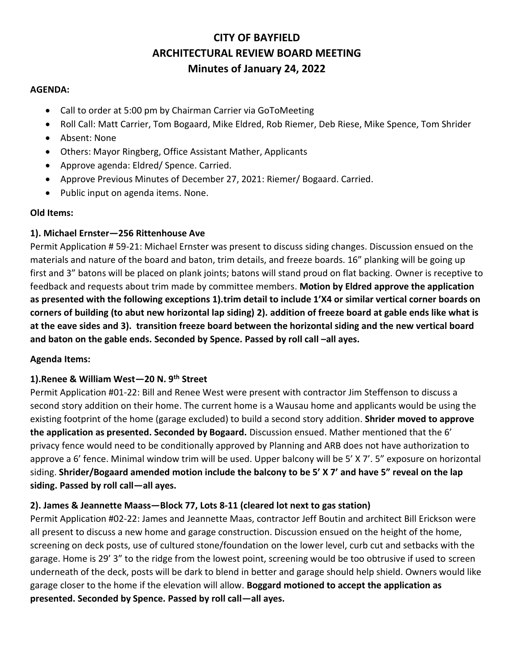# **CITY OF BAYFIELD ARCHITECTURAL REVIEW BOARD MEETING Minutes of January 24, 2022**

#### **AGENDA:**

- Call to order at 5:00 pm by Chairman Carrier via GoToMeeting
- Roll Call: Matt Carrier, Tom Bogaard, Mike Eldred, Rob Riemer, Deb Riese, Mike Spence, Tom Shrider
- Absent: None
- Others: Mayor Ringberg, Office Assistant Mather, Applicants
- Approve agenda: Eldred/ Spence. Carried.
- Approve Previous Minutes of December 27, 2021: Riemer/ Bogaard. Carried.
- Public input on agenda items. None.

### **Old Items:**

### **1). Michael Ernster—256 Rittenhouse Ave**

Permit Application # 59-21: Michael Ernster was present to discuss siding changes. Discussion ensued on the materials and nature of the board and baton, trim details, and freeze boards. 16" planking will be going up first and 3" batons will be placed on plank joints; batons will stand proud on flat backing. Owner is receptive to feedback and requests about trim made by committee members. **Motion by Eldred approve the application as presented with the following exceptions 1).trim detail to include 1'X4 or similar vertical corner boards on corners of building (to abut new horizontal lap siding) 2). addition of freeze board at gable ends like what is at the eave sides and 3). transition freeze board between the horizontal siding and the new vertical board and baton on the gable ends. Seconded by Spence. Passed by roll call –all ayes.** 

### **Agenda Items:**

# **1).Renee & William West—20 N. 9th Street**

Permit Application #01-22: Bill and Renee West were present with contractor Jim Steffenson to discuss a second story addition on their home. The current home is a Wausau home and applicants would be using the existing footprint of the home (garage excluded) to build a second story addition. **Shrider moved to approve the application as presented. Seconded by Bogaard.** Discussion ensued. Mather mentioned that the 6' privacy fence would need to be conditionally approved by Planning and ARB does not have authorization to approve a 6' fence. Minimal window trim will be used. Upper balcony will be 5' X 7'. 5" exposure on horizontal siding. **Shrider/Bogaard amended motion include the balcony to be 5' X 7' and have 5" reveal on the lap siding. Passed by roll call—all ayes.** 

# **2). James & Jeannette Maass—Block 77, Lots 8-11 (cleared lot next to gas station)**

Permit Application #02-22: James and Jeannette Maas, contractor Jeff Boutin and architect Bill Erickson were all present to discuss a new home and garage construction. Discussion ensued on the height of the home, screening on deck posts, use of cultured stone/foundation on the lower level, curb cut and setbacks with the garage. Home is 29' 3" to the ridge from the lowest point, screening would be too obtrusive if used to screen underneath of the deck, posts will be dark to blend in better and garage should help shield. Owners would like garage closer to the home if the elevation will allow. **Boggard motioned to accept the application as presented. Seconded by Spence. Passed by roll call—all ayes.**